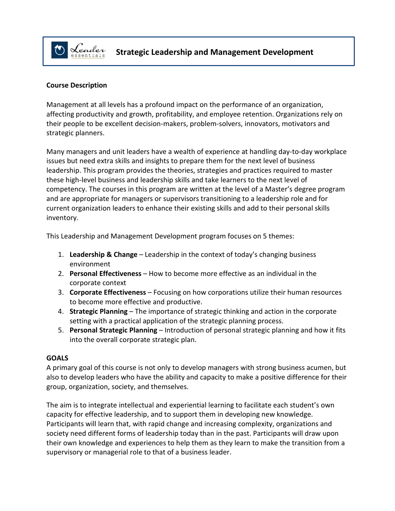

### **Course Description**

Management at all levels has a profound impact on the performance of an organization, affecting productivity and growth, profitability, and employee retention. Organizations rely on their people to be excellent decision-makers, problem-solvers, innovators, motivators and strategic planners.

Many managers and unit leaders have a wealth of experience at handling day-to-day workplace issues but need extra skills and insights to prepare them for the next level of business leadership. This program provides the theories, strategies and practices required to master these high-level business and leadership skills and take learners to the next level of competency. The courses in this program are written at the level of a Master's degree program and are appropriate for managers or supervisors transitioning to a leadership role and for current organization leaders to enhance their existing skills and add to their personal skills inventory.

This Leadership and Management Development program focuses on 5 themes:

- 1. **Leadership & Change** Leadership in the context of today's changing business environment
- 2. **Personal Effectiveness** How to become more effective as an individual in the corporate context
- 3. **Corporate Effectiveness** Focusing on how corporations utilize their human resources to become more effective and productive.
- 4. **Strategic Planning** The importance of strategic thinking and action in the corporate setting with a practical application of the strategic planning process.
- 5. **Personal Strategic Planning** Introduction of personal strategic planning and how it fits into the overall corporate strategic plan.

#### **GOALS**

A primary goal of this course is not only to develop managers with strong business acumen, but also to develop leaders who have the ability and capacity to make a positive difference for their group, organization, society, and themselves.

The aim is to integrate intellectual and experiential learning to facilitate each student's own capacity for effective leadership, and to support them in developing new knowledge. Participants will learn that, with rapid change and increasing complexity, organizations and society need different forms of leadership today than in the past. Participants will draw upon their own knowledge and experiences to help them as they learn to make the transition from a supervisory or managerial role to that of a business leader.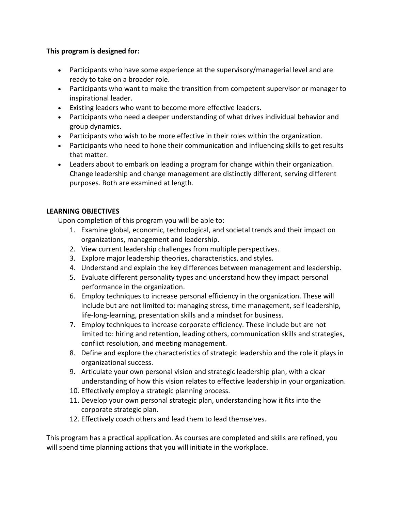### **This program is designed for:**

- Participants who have some experience at the supervisory/managerial level and are ready to take on a broader role.
- Participants who want to make the transition from competent supervisor or manager to inspirational leader.
- Existing leaders who want to become more effective leaders.
- Participants who need a deeper understanding of what drives individual behavior and group dynamics.
- Participants who wish to be more effective in their roles within the organization.
- Participants who need to hone their communication and influencing skills to get results that matter.
- Leaders about to embark on leading a program for change within their organization. Change leadership and change management are distinctly different, serving different purposes. Both are examined at length.

# **LEARNING OBJECTIVES**

Upon completion of this program you will be able to:

- 1. Examine global, economic, technological, and societal trends and their impact on organizations, management and leadership.
- 2. View current leadership challenges from multiple perspectives.
- 3. Explore major leadership theories, characteristics, and styles.
- 4. Understand and explain the key differences between management and leadership.
- 5. Evaluate different personality types and understand how they impact personal performance in the organization.
- 6. Employ techniques to increase personal efficiency in the organization. These will include but are not limited to: managing stress, time management, self leadership, life-long-learning, presentation skills and a mindset for business.
- 7. Employ techniques to increase corporate efficiency. These include but are not limited to: hiring and retention, leading others, communication skills and strategies, conflict resolution, and meeting management.
- 8. Define and explore the characteristics of strategic leadership and the role it plays in organizational success.
- 9. Articulate your own personal vision and strategic leadership plan, with a clear understanding of how this vision relates to effective leadership in your organization.
- 10. Effectively employ a strategic planning process.
- 11. Develop your own personal strategic plan, understanding how it fits into the corporate strategic plan.
- 12. Effectively coach others and lead them to lead themselves.

This program has a practical application. As courses are completed and skills are refined, you will spend time planning actions that you will initiate in the workplace.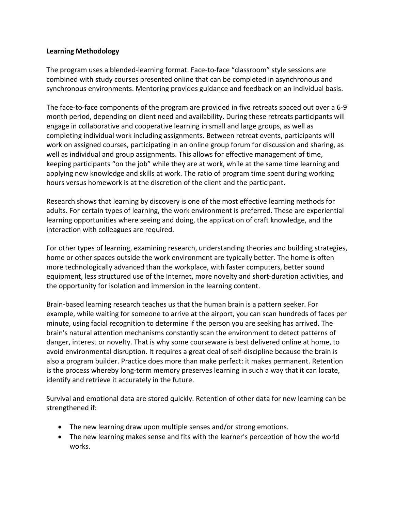#### **Learning Methodology**

The program uses a blended-learning format. Face-to-face "classroom" style sessions are combined with study courses presented online that can be completed in asynchronous and synchronous environments. Mentoring provides guidance and feedback on an individual basis.

The face-to-face components of the program are provided in five retreats spaced out over a 6-9 month period, depending on client need and availability. During these retreats participants will engage in collaborative and cooperative learning in small and large groups, as well as completing individual work including assignments. Between retreat events, participants will work on assigned courses, participating in an online group forum for discussion and sharing, as well as individual and group assignments. This allows for effective management of time, keeping participants "on the job" while they are at work, while at the same time learning and applying new knowledge and skills at work. The ratio of program time spent during working hours versus homework is at the discretion of the client and the participant.

Research shows that learning by discovery is one of the most effective learning methods for adults. For certain types of learning, the work environment is preferred. These are experiential learning opportunities where seeing and doing, the application of craft knowledge, and the interaction with colleagues are required.

For other types of learning, examining research, understanding theories and building strategies, home or other spaces outside the work environment are typically better. The home is often more technologically advanced than the workplace, with faster computers, better sound equipment, less structured use of the Internet, more novelty and short-duration activities, and the opportunity for isolation and immersion in the learning content.

Brain-based learning research teaches us that the human brain is a pattern seeker. For example, while waiting for someone to arrive at the airport, you can scan hundreds of faces per minute, using facial recognition to determine if the person you are seeking has arrived. The brain's natural attention mechanisms constantly scan the environment to detect patterns of danger, interest or novelty. That is why some courseware is best delivered online at home, to avoid environmental disruption. It requires a great deal of self-discipline because the brain is also a program builder. Practice does more than make perfect: it makes permanent. Retention is the process whereby long-term memory preserves learning in such a way that it can locate, identify and retrieve it accurately in the future.

Survival and emotional data are stored quickly. Retention of other data for new learning can be strengthened if:

- The new learning draw upon multiple senses and/or strong emotions.
- The new learning makes sense and fits with the learner's perception of how the world works.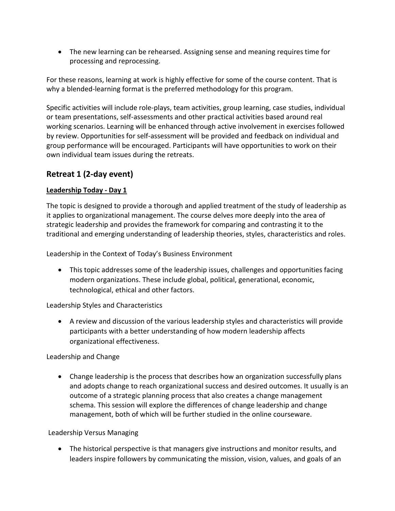• The new learning can be rehearsed. Assigning sense and meaning requires time for processing and reprocessing.

For these reasons, learning at work is highly effective for some of the course content. That is why a blended-learning format is the preferred methodology for this program.

Specific activities will include role-plays, team activities, group learning, case studies, individual or team presentations, self-assessments and other practical activities based around real working scenarios. Learning will be enhanced through active involvement in exercises followed by review. Opportunities for self-assessment will be provided and feedback on individual and group performance will be encouraged. Participants will have opportunities to work on their own individual team issues during the retreats.

# **Retreat 1 (2-day event)**

# **Leadership Today - Day 1**

The topic is designed to provide a thorough and applied treatment of the study of leadership as it applies to organizational management. The course delves more deeply into the area of strategic leadership and provides the framework for comparing and contrasting it to the traditional and emerging understanding of leadership theories, styles, characteristics and roles.

Leadership in the Context of Today's Business Environment

• This topic addresses some of the leadership issues, challenges and opportunities facing modern organizations. These include global, political, generational, economic, technological, ethical and other factors.

Leadership Styles and Characteristics

• A review and discussion of the various leadership styles and characteristics will provide participants with a better understanding of how modern leadership affects organizational effectiveness.

Leadership and Change

• Change leadership is the process that describes how an organization successfully plans and adopts change to reach organizational success and desired outcomes. It usually is an outcome of a strategic planning process that also creates a change management schema. This session will explore the differences of change leadership and change management, both of which will be further studied in the online courseware.

# Leadership Versus Managing

• The historical perspective is that managers give instructions and monitor results, and leaders inspire followers by communicating the mission, vision, values, and goals of an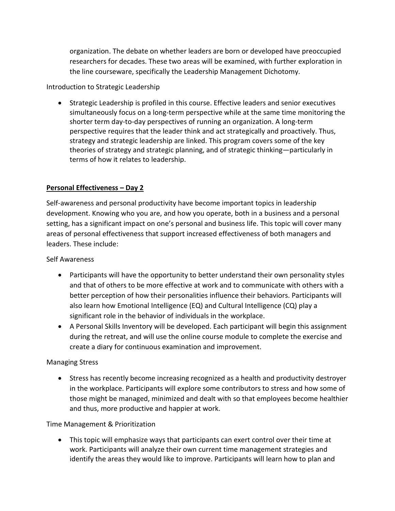organization. The debate on whether leaders are born or developed have preoccupied researchers for decades. These two areas will be examined, with further exploration in the line courseware, specifically the Leadership Management Dichotomy.

# Introduction to Strategic Leadership

• Strategic Leadership is profiled in this course. Effective leaders and senior executives simultaneously focus on a long-term perspective while at the same time monitoring the shorter term day-to-day perspectives of running an organization. A long-term perspective requires that the leader think and act strategically and proactively. Thus, strategy and strategic leadership are linked. This program covers some of the key theories of strategy and strategic planning, and of strategic thinking—particularly in terms of how it relates to leadership.

# **Personal Effectiveness – Day 2**

Self-awareness and personal productivity have become important topics in leadership development. Knowing who you are, and how you operate, both in a business and a personal setting, has a significant impact on one's personal and business life. This topic will cover many areas of personal effectiveness that support increased effectiveness of both managers and leaders. These include:

# Self Awareness

- Participants will have the opportunity to better understand their own personality styles and that of others to be more effective at work and to communicate with others with a better perception of how their personalities influence their behaviors. Participants will also learn how Emotional Intelligence (EQ) and Cultural Intelligence (CQ) play a significant role in the behavior of individuals in the workplace.
- A Personal Skills Inventory will be developed. Each participant will begin this assignment during the retreat, and will use the online course module to complete the exercise and create a diary for continuous examination and improvement.

# Managing Stress

• Stress has recently become increasing recognized as a health and productivity destroyer in the workplace. Participants will explore some contributors to stress and how some of those might be managed, minimized and dealt with so that employees become healthier and thus, more productive and happier at work.

# Time Management & Prioritization

• This topic will emphasize ways that participants can exert control over their time at work. Participants will analyze their own current time management strategies and identify the areas they would like to improve. Participants will learn how to plan and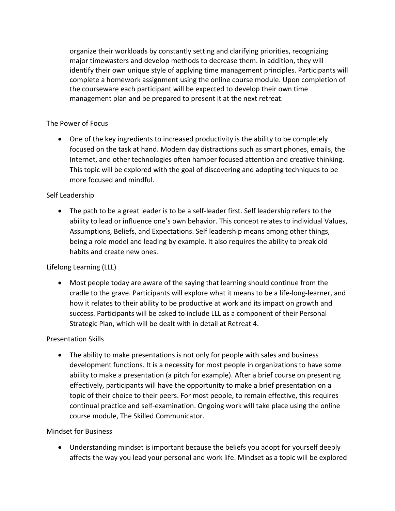organize their workloads by constantly setting and clarifying priorities, recognizing major timewasters and develop methods to decrease them. in addition, they will identify their own unique style of applying time management principles. Participants will complete a homework assignment using the online course module. Upon completion of the courseware each participant will be expected to develop their own time management plan and be prepared to present it at the next retreat.

# The Power of Focus

• One of the key ingredients to increased productivity is the ability to be completely focused on the task at hand. Modern day distractions such as smart phones, emails, the Internet, and other technologies often hamper focused attention and creative thinking. This topic will be explored with the goal of discovering and adopting techniques to be more focused and mindful.

# Self Leadership

• The path to be a great leader is to be a self-leader first. Self leadership refers to the ability to lead or influence one's own behavior. This concept relates to individual Values, Assumptions, Beliefs, and Expectations. Self leadership means among other things, being a role model and leading by example. It also requires the ability to break old habits and create new ones.

# Lifelong Learning (LLL)

• Most people today are aware of the saying that learning should continue from the cradle to the grave. Participants will explore what it means to be a life-long-learner, and how it relates to their ability to be productive at work and its impact on growth and success. Participants will be asked to include LLL as a component of their Personal Strategic Plan, which will be dealt with in detail at Retreat 4.

# Presentation Skills

• The ability to make presentations is not only for people with sales and business development functions. It is a necessity for most people in organizations to have some ability to make a presentation (a pitch for example). After a brief course on presenting effectively, participants will have the opportunity to make a brief presentation on a topic of their choice to their peers. For most people, to remain effective, this requires continual practice and self-examination. Ongoing work will take place using the online course module, The Skilled Communicator.

# Mindset for Business

• Understanding mindset is important because the beliefs you adopt for yourself deeply affects the way you lead your personal and work life. Mindset as a topic will be explored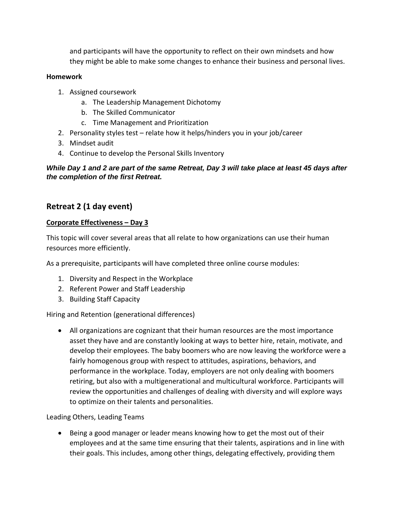and participants will have the opportunity to reflect on their own mindsets and how they might be able to make some changes to enhance their business and personal lives.

### **Homework**

- 1. Assigned coursework
	- a. The Leadership Management Dichotomy
	- b. The Skilled Communicator
	- c. Time Management and Prioritization
- 2. Personality styles test relate how it helps/hinders you in your job/career
- 3. Mindset audit
- 4. Continue to develop the Personal Skills Inventory

# *While Day 1 and 2 are part of the same Retreat, Day 3 will take place at least 45 days after the completion of the first Retreat.*

# **Retreat 2 (1 day event)**

# **Corporate Effectiveness – Day 3**

This topic will cover several areas that all relate to how organizations can use their human resources more efficiently.

As a prerequisite, participants will have completed three online course modules:

- 1. Diversity and Respect in the Workplace
- 2. Referent Power and Staff Leadership
- 3. Building Staff Capacity

# Hiring and Retention (generational differences)

• All organizations are cognizant that their human resources are the most importance asset they have and are constantly looking at ways to better hire, retain, motivate, and develop their employees. The baby boomers who are now leaving the workforce were a fairly homogenous group with respect to attitudes, aspirations, behaviors, and performance in the workplace. Today, employers are not only dealing with boomers retiring, but also with a multigenerational and multicultural workforce. Participants will review the opportunities and challenges of dealing with diversity and will explore ways to optimize on their talents and personalities.

# Leading Others, Leading Teams

• Being a good manager or leader means knowing how to get the most out of their employees and at the same time ensuring that their talents, aspirations and in line with their goals. This includes, among other things, delegating effectively, providing them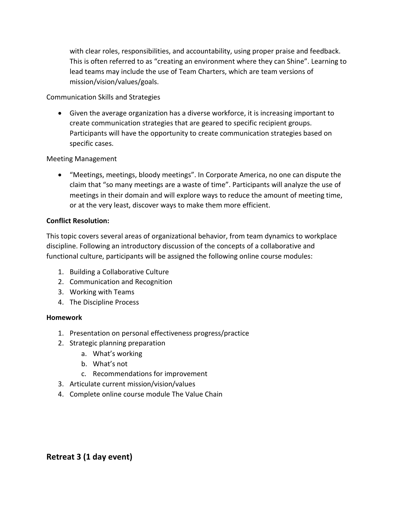with clear roles, responsibilities, and accountability, using proper praise and feedback. This is often referred to as "creating an environment where they can Shine". Learning to lead teams may include the use of Team Charters, which are team versions of mission/vision/values/goals.

Communication Skills and Strategies

• Given the average organization has a diverse workforce, it is increasing important to create communication strategies that are geared to specific recipient groups. Participants will have the opportunity to create communication strategies based on specific cases.

# Meeting Management

• "Meetings, meetings, bloody meetings". In Corporate America, no one can dispute the claim that "so many meetings are a waste of time". Participants will analyze the use of meetings in their domain and will explore ways to reduce the amount of meeting time, or at the very least, discover ways to make them more efficient.

# **Conflict Resolution:**

This topic covers several areas of organizational behavior, from team dynamics to workplace discipline. Following an introductory discussion of the concepts of a collaborative and functional culture, participants will be assigned the following online course modules:

- 1. Building a Collaborative Culture
- 2. Communication and Recognition
- 3. Working with Teams
- 4. The Discipline Process

# **Homework**

- 1. Presentation on personal effectiveness progress/practice
- 2. Strategic planning preparation
	- a. What's working
	- b. What's not
	- c. Recommendations for improvement
- 3. Articulate current mission/vision/values
- 4. Complete online course module The Value Chain

# **Retreat 3 (1 day event)**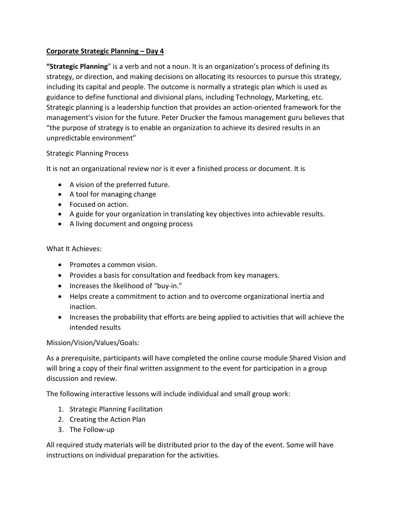# **Corporate Strategic Planning – Day 4**

**"Strategic Planning**" is a verb and not a noun. It is an organization's process of defining its strategy, or direction, and making decisions on allocating its resources to pursue this strategy, including its capital and people. The outcome is normally a strategic plan which is used as guidance to define functional and divisional plans, including Technology, Marketing, etc. Strategic planning is a leadership function that provides an action-oriented framework for the management's vision for the future. Peter Drucker the famous management guru believes that "the purpose of strategy is to enable an organization to achieve its desired results in an unpredictable environment"

# Strategic Planning Process

It is not an organizational review nor is it ever a finished process or document. It is

- A vision of the preferred future.
- A tool for managing change
- Focused on action.
- A guide for your organization in translating key objectives into achievable results.
- A living document and ongoing process

#### What It Achieves:

- Promotes a common vision.
- Provides a basis for consultation and feedback from key managers.
- Increases the likelihood of "buy-in."
- Helps create a commitment to action and to overcome organizational inertia and inaction.
- Increases the probability that efforts are being applied to activities that will achieve the intended results

# Mission/Vision/Values/Goals:

As a prerequisite, participants will have completed the online course module Shared Vision and will bring a copy of their final written assignment to the event for participation in a group discussion and review.

The following interactive lessons will include individual and small group work:

- 1. Strategic Planning Facilitation
- 2. Creating the Action Plan
- 3. The Follow-up

All required study materials will be distributed prior to the day of the event. Some will have instructions on individual preparation for the activities.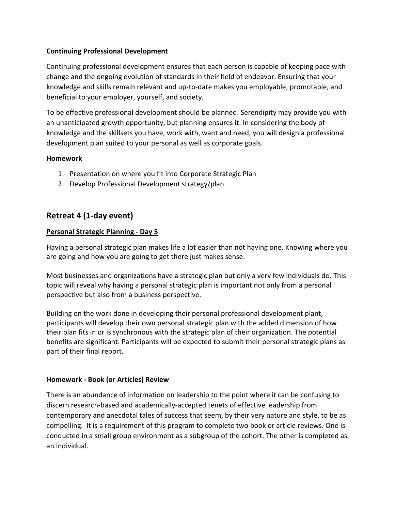### **Continuing Professional Development**

Continuing professional development ensures that each person is capable of keeping pace with change and the ongoing evolution of standards in their field of endeavor. Ensuring that your knowledge and skills remain relevant and up-to-date makes you employable, promotable, and beneficial to your employer, yourself, and society.

To be effective professional development should be planned. Serendipity may provide you with an unanticipated growth opportunity, but planning ensures it. In considering the body of knowledge and the skillsets you have, work with, want and need, you will design a professional development plan suited to your personal as well as corporate goals.

#### **Homework**

- 1. Presentation on where you fit into Corporate Strategic Plan
- 2. Develop Professional Development strategy/plan

# **Retreat 4 (1-day event)**

#### **Personal Strategic Planning - Day 5**

Having a personal strategic plan makes life a lot easier than not having one. Knowing where you are going and how you are going to get there just makes sense.

Most businesses and organizations have a strategic plan but only a very few individuals do. This topic will reveal why having a personal strategic plan is important not only from a personal perspective but also from a business perspective.

Building on the work done in developing their personal professional development plant, participants will develop their own personal strategic plan with the added dimension of how their plan fits in or is synchronous with the strategic plan of their organization. The potential benefits are significant. Participants will be expected to submit their personal strategic plans as part of their final report.

#### **Homework - Book (or Articles) Review**

There is an abundance of information on leadership to the point where it can be confusing to discern research-based and academically-accepted tenets of effective leadership from contemporary and anecdotal tales of success that seem, by their very nature and style, to be as compelling. It is a requirement of this program to complete two book or article reviews. One is conducted in a small group environment as a subgroup of the cohort. The other is completed as an individual.